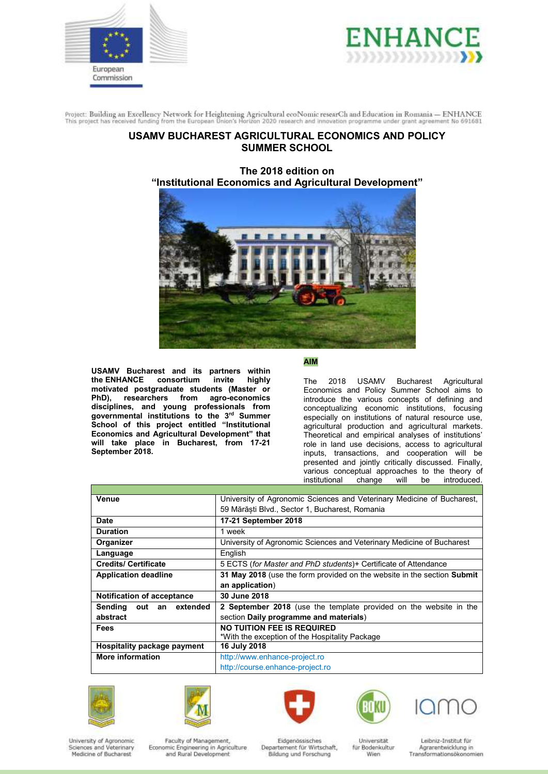



# **USAMV BUCHAREST AGRICULTURAL ECONOMICS AND POLICY SUMMER SCHOOL**

**The 2018 edition on "Institutional Economics and Agricultural Development"**



**USAMV Bucharest and its partners within the ENHANCE** consortium **motivated postgraduate students (Master or Phonocenomic researchers** from agro-economics **disciplines, and young professionals from governmental institutions to the 3 rd Summer School of this project entitled "Institutional Economics and Agricultural Development" that will take place in Bucharest, from 17-21 September 2018.** 

# **AIM**

The 2018 USAMV Bucharest Agricultural Economics and Policy Summer School aims to introduce the various concepts of defining and conceptualizing economic institutions, focusing especially on institutions of natural resource use, agricultural production and agricultural markets. Theoretical and empirical analyses of institutions' role in land use decisions, access to agricultural inputs, transactions, and cooperation will be presented and jointly critically discussed. Finally, various conceptual approaches to the theory of institutional change will be introduced. change will be introduced.

| Venue                             | University of Agronomic Sciences and Veterinary Medicine of Bucharest,   |  |  |  |  |
|-----------------------------------|--------------------------------------------------------------------------|--|--|--|--|
|                                   | 59 Mărăști Blvd., Sector 1, Bucharest, Romania                           |  |  |  |  |
|                                   |                                                                          |  |  |  |  |
| <b>Date</b>                       | 17-21 September 2018                                                     |  |  |  |  |
| <b>Duration</b>                   | 1 week                                                                   |  |  |  |  |
| Organizer                         | University of Agronomic Sciences and Veterinary Medicine of Bucharest    |  |  |  |  |
| Language                          | English                                                                  |  |  |  |  |
| <b>Credits/ Certificate</b>       | 5 ECTS (for Master and PhD students)+ Certificate of Attendance          |  |  |  |  |
| <b>Application deadline</b>       | 31 May 2018 (use the form provided on the website in the section Submit  |  |  |  |  |
|                                   | an application)                                                          |  |  |  |  |
| <b>Notification of acceptance</b> | 30 June 2018                                                             |  |  |  |  |
| Sending<br>out an extended        | <b>2 September 2018</b> (use the template provided on the website in the |  |  |  |  |
| abstract                          | section Daily programme and materials)                                   |  |  |  |  |
| Fees                              | <b>NO TUITION FEE IS REQUIRED</b>                                        |  |  |  |  |
|                                   | *With the exception of the Hospitality Package                           |  |  |  |  |
| Hospitality package payment       | 16 July 2018                                                             |  |  |  |  |
| <b>More information</b>           | http://www.enhance-project.ro                                            |  |  |  |  |
|                                   | http://course.enhance-project.ro                                         |  |  |  |  |











University of Agronomic Sciences and Veterinary<br>Medicine of Bucharest

Faculty of Management, Economic Engineering in Agriculture<br>and Rural Development

Eidgenössisches Departement für Wirtschaft, Bildung und Forschung

Universität für Bodenkultur Wien.

Leibniz-Institut für Agrarentwicklung in<br>Transformationsökonomien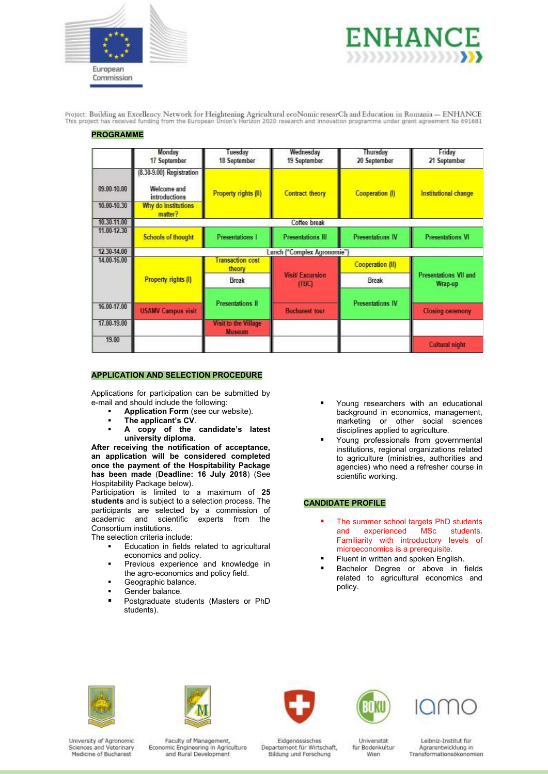

**PROGRAMME** 



Project: Building an Excellency Network for Heightening Agricultural ecoNomic researCh and Education in Romania -- ENHANCE<br>This project has received funding from the European Union's Horizon 2020 research and innovation pr

|             | Monday<br>17 September                                   | Tuesday<br>18 September               | Wednesday<br>19 September       | Thursday<br>20 September | Friday<br>21 September                  |  |  |
|-------------|----------------------------------------------------------|---------------------------------------|---------------------------------|--------------------------|-----------------------------------------|--|--|
| 09.00-10.00 | (8.30-9.00) Registration<br>Welcome and<br>introductions | Property rights (II)                  | Contract theory                 | Cooperation (I)          | Institutional change                    |  |  |
| 10.00-10.30 | Why do institutions<br>matter?                           |                                       |                                 |                          |                                         |  |  |
| 10.30-11.00 | Coffee break                                             |                                       |                                 |                          |                                         |  |  |
| 11,00 12.30 | <b>Schools of thought</b>                                | <b>Presentations 1</b>                | <b>Presentations III</b>        | <b>Presentations IV</b>  | <b>Presentations VI</b>                 |  |  |
| 12.30-14.00 | Lunch ("Complex Agronomie")                              |                                       |                                 |                          |                                         |  |  |
| 14.00-16.00 | Property rights (I)                                      | ransaction cost<br>theory             | <b>Visit Excursion</b><br>(TBC) | <b>Cooperation (II)</b>  | <b>Presentations VII and</b><br>Wrap-up |  |  |
|             |                                                          | Break                                 |                                 | Break                    |                                         |  |  |
|             |                                                          |                                       |                                 |                          |                                         |  |  |
| 16.00-17.00 | <b>USAMV Campus visit</b>                                | <b>Presentations II</b>               | <b>Bucharest tour</b>           | <b>Presentations IV</b>  | <b>Closing ceremony</b>                 |  |  |
| 17.00-19.00 |                                                          | Visit to the Village<br><b>Museum</b> |                                 |                          |                                         |  |  |
| 19.00       |                                                          |                                       |                                 |                          | <b>Cultural night</b>                   |  |  |

# **APPLICATION AND SELECTION PROCEDURE**

Applications for participation can be submitted by e-mail and should include the following:

- **Application Form** (see our website).
- **The applicant's CV**.
- **A copy of the candidate's latest university diploma**.

**After receiving the notification of acceptance, an application will be considered completed once the payment of the Hospitability Package has been made** (**Deadline: 16 July 2018**) (See Hospitability Package below).

Participation is limited to a maximum of **25 students** and is subject to a selection process. The participants are selected by a commission of academic and scientific experts from the Consortium institutions.

The selection criteria include:

- Education in fields related to agricultural economics and policy.
- **Previous experience and knowledge in** the agro-economics and policy field.
- Geographic balance.
- Gender balance.
- **Postgraduate students (Masters or PhD** students).
- Young researchers with an educational background in economics, management, marketing or other social sciences disciplines applied to agriculture.
- Young professionals from governmental institutions, regional organizations related to agriculture (ministries, authorities and agencies) who need a refresher course in scientific working.

## **CANDIDATE PROFILE**

- The summer school targets PhD students and experienced MSc students. Familiarity with introductory levels of microeconomics is a prerequisite.
- Fluent in written and spoken English.
- Bachelor Degree or above in fields related to agricultural economics and policy.











University of Agronomic Sciences and Veterinary Medicine of Bucharest

Faculty of Management, Economic Engineering in Agriculture<br>and Rural Development

Eidgenössisches Departement für Wirtschaft, Bildung und Forschung

Universität für Bodenkultur Wien.

Leibniz-Institut für Agrarentwicklung in<br>Transformationsökonomien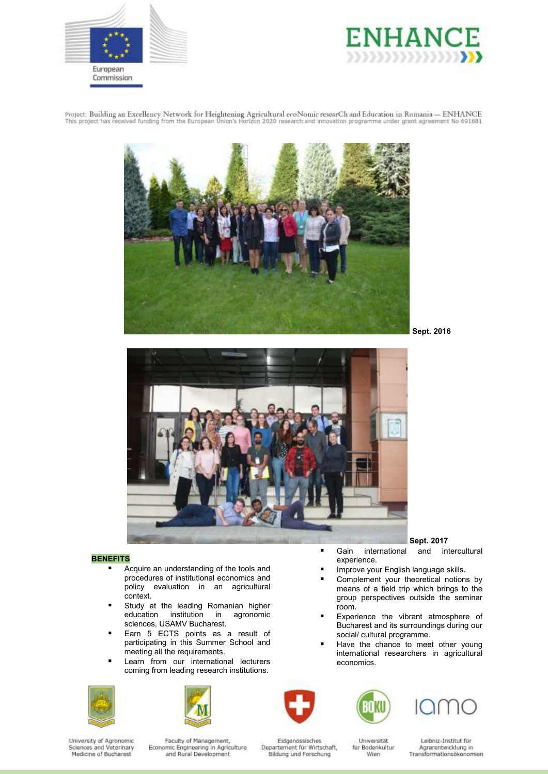





**Sept. 2016**



### **BENEFITS**

- Acquire an understanding of the tools and procedures of institutional economics and policy evaluation in an agricultural context.
- **Study at the leading Romanian higher<br>education institution in agronomic** education institution sciences, USAMV Bucharest.
- Earn 5 ECTS points as a result of participating in this Summer School and meeting all the requirements.
- Learn from our international lecturers coming from leading research institutions.









- Improve your English language skills. Complement your theoretical notions by means of a field trip which brings to the group perspectives outside the seminar room.
- Experience the vibrant atmosphere of Bucharest and its surroundings during our social/ cultural programme.
- Have the chance to meet other young international researchers in agricultural economics.



experience.



University of Agronomic Sciences and Veterinary<br>Medicine of Bucharest

Faculty of Management, Economic Engineering in Agriculture<br>and Rural Development

Eidgenössisches Departement für Wirtschaft, Bildung und Forschung

Universität für Bodenkultur Wien.

Leibniz-Institut für Agrarentwicklung in<br>Transformationsökonomien

**Sept. 2017** Gain international and intercultural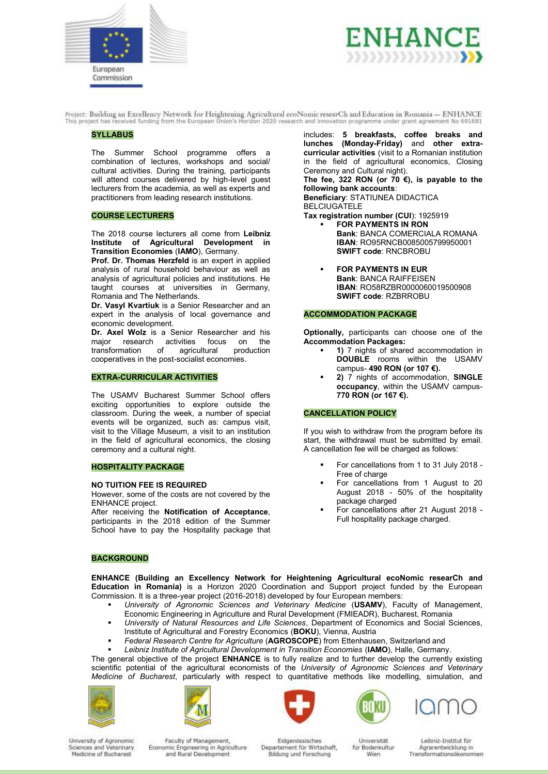



#### **SYLLABUS**

The Summer School programme offers a combination of lectures, workshops and social/ cultural activities. During the training, participants will attend courses delivered by high-level guest lecturers from the academia, as well as experts and practitioners from leading research institutions.

### **COURSE LECTURERS**

The 2018 course lecturers all come from **Leibniz Institute of Agricultural Development in Transition Economies** (**IAMO**), Germany.

**Prof. Dr. Thomas Herzfeld** is an expert in applied analysis of rural household behaviour as well as analysis of agricultural policies and institutions. He taught courses at universities in Germany, Romania and The Netherlands.

**Dr. Vasyl Kvartiuk** is a Senior Researcher and an expert in the analysis of local governance and economic development.

**Dr. Axel Wolz** is a Senior Researcher and his major research activities focus on the major research activities<br>transformation of agricu transformation of agricultural production cooperatives in the post-socialist economies.

### **EXTRA-CURRICULAR ACTIVITIES**

The USAMV Bucharest Summer School offers exciting opportunities to explore outside the classroom. During the week, a number of special events will be organized, such as: campus visit, visit to the Village Museum, a visit to an institution in the field of agricultural economics, the closing ceremony and a cultural night.

#### **HOSPITALITY PACKAGE**

#### **NO TUITION FEE IS REQUIRED**

However, some of the costs are not covered by the ENHANCE project.

After receiving the **Notification of Acceptance**, participants in the 2018 edition of the Summer School have to pay the Hospitality package that

#### **BACKGROUND**

includes: **5 breakfasts, coffee breaks and lunches (Monday-Friday)** and **other extracurricular activities** (visit to a Romanian institution in the field of agricultural economics, Closing Ceremony and Cultural night).

**The fee, 322 RON (or 70 €), is payable to the following bank accounts**:

**Beneficiary**: STATIUNEA DIDACTICA BELCIUGATELE

- **Tax registration number (CUI**): 1925919
	- **FOR PAYMENTS IN RON Bank**: BANCA COMERCIALA ROMANA **IBAN**: RO95RNCB0085005799950001 **SWIFT code**: RNCBROBU
	- **FOR PAYMENTS IN EUR Bank**: BANCA RAIFFEISEN **IBAN**: RO58RZBR0000060019500908 **SWIFT code**: RZBRROBU

#### **ACCOMMODATION PACKAGE**

**Optionally,** participants can choose one of the **Accommodation Packages:**

- **1)** 7 nights of shared accommodation in **DOUBLE** rooms within the USAMV campus- **490 RON (or 107 €).**
- **2)** 7 nights of accommodation, **SINGLE occupancy**, within the USAMV campus-**770 RON (or 167 €).**

#### **CANCELLATION POLICY**

If you wish to withdraw from the program before its start, the withdrawal must be submitted by email. A cancellation fee will be charged as follows:

- For cancellations from 1 to 31 July 2018 Free of charge
- For cancellations from 1 August to 20 August 2018 - 50% of the hospitality package charged
- For cancellations after 21 August 2018 Full hospitality package charged.

**ENHANCE (Building an Excellency Network for Heightening Agricultural ecoNomic researCh and Education in Romania)** is a Horizon 2020 Coordination and Support project funded by the European Commission. It is a three-year project (2016-2018) developed by four European members:

- *University of Agronomic Sciences and Veterinary Medicine* (**USAMV**), Faculty of Management, Economic Engineering in Agriculture and Rural Development (FMIEADR), Bucharest, Romania
- *University of Natural Resources and Life Sciences*, Department of Economics and Social Sciences, Institute of Agricultural and Forestry Economics (**BOKU**), Vienna, Austria
- *Federal Research Centre for Agriculture* (**AGROSCOPE**) from Ettenhausen, Switzerland and
- *Leibniz Institute of Agricultural Development in Transition Economies* (**IAMO**), Halle, Germany.

The general objective of the project **ENHANCE** is to fully realize and to further develop the currently existing scientific potential of the agricultural economists of the *University of Agronomic Sciences and Veterinary Medicine of Bucharest*, particularly with respect to quantitative methods like modelling, simulation, and











University of Agronomic Sciences and Veterinary Medicine of Bucharest

Faculty of Management, Economic Engineering in Agriculture<br>and Rural Development

Eidgenössisches Departement für Wirtschaft, Bildung und Forschung

Universität für Bodenkultur Wien.

Leibniz-Institut für Agrarentwicklung in Transformationsökonomien